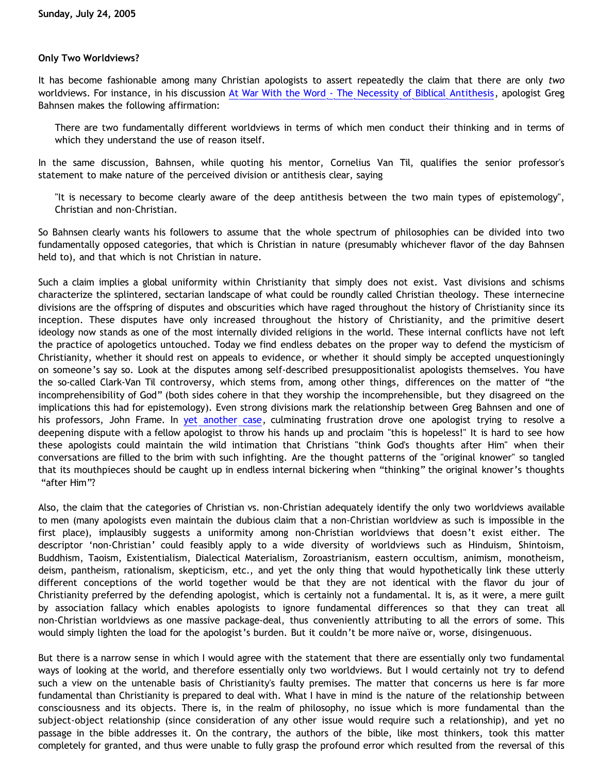## **Only Two Worldviews?**

It has become fashionable among many Christian apologists to assert repeatedly the claim that there are only *two* worldviews. For instance, in his discussion [At War With the Word - The Necessity of Biblical Antithesis,](http://www.cmfnow.com/articles/pa083.htm) apologist Greg Bahnsen makes the following affirmation:

There are two fundamentally different worldviews in terms of which men conduct their thinking and in terms of which they understand the use of reason itself.

In the same discussion, Bahnsen, while quoting his mentor, Cornelius Van Til, qualifies the senior professor's statement to make nature of the perceived division or antithesis clear, saying

"It is necessary to become clearly aware of the deep antithesis between the two main types of epistemology", Christian and non-Christian.

So Bahnsen clearly wants his followers to assume that the whole spectrum of philosophies can be divided into two fundamentally opposed categories, that which is Christian in nature (presumably whichever flavor of the day Bahnsen held to), and that which is not Christian in nature.

Such a claim implies a global uniformity within Christianity that simply does not exist. Vast divisions and schisms characterize the splintered, sectarian landscape of what could be roundly called Christian theology. These internecine divisions are the offspring of disputes and obscurities which have raged throughout the history of Christianity since its inception. These disputes have only increased throughout the history of Christianity, and the primitive desert ideology now stands as one of the most internally divided religions in the world. These internal conflicts have not left the practice of apologetics untouched. Today we find endless debates on the proper way to defend the mysticism of Christianity, whether it should rest on appeals to evidence, or whether it should simply be accepted unquestioningly on someone's say so. Look at the disputes among self-described presuppositionalist apologists themselves. You have the so-called Clark-Van Til controversy, which stems from, among other things, differences on the matter of "the incomprehensibility of God" (both sides cohere in that they worship the incomprehensible, but they disagreed on the implications this had for epistemology). Even strong divisions mark the relationship between Greg Bahnsen and one of his professors, John Frame. In [yet another case,](http://groups.yahoo.com/group/all-bahnsen/message/1655) culminating frustration drove one apologist trying to resolve a deepening dispute with a fellow apologist to throw his hands up and proclaim "this is hopeless!" It is hard to see how these apologists could maintain the wild intimation that Christians "think God's thoughts after Him" when their conversations are filled to the brim with such infighting. Are the thought patterns of the "original knower" so tangled that its mouthpieces should be caught up in endless internal bickering when "thinking" the original knower's thoughts "after Him"?

Also, the claim that the categories of Christian vs. non-Christian adequately identify the only two worldviews available to men (many apologists even maintain the dubious claim that a non-Christian worldview as such is impossible in the first place), implausibly suggests a uniformity among non-Christian worldviews that doesn't exist either. The descriptor 'non-Christian' could feasibly apply to a wide diversity of worldviews such as Hinduism, Shintoism, Buddhism, Taoism, Existentialism, Dialectical Materialism, Zoroastrianism, eastern occultism, animism, monotheism, deism, pantheism, rationalism, skepticism, etc., and yet the only thing that would hypothetically link these utterly different conceptions of the world together would be that they are not identical with the flavor du jour of Christianity preferred by the defending apologist, which is certainly not a fundamental. It is, as it were, a mere guilt by association fallacy which enables apologists to ignore fundamental differences so that they can treat all non-Christian worldviews as one massive package-deal, thus conveniently attributing to all the errors of some. This would simply lighten the load for the apologist's burden. But it couldn't be more naïve or, worse, disingenuous.

But there is a narrow sense in which I would agree with the statement that there are essentially only two fundamental ways of looking at the world, and therefore essentially only two worldviews. But I would certainly not try to defend such a view on the untenable basis of Christianity's faulty premises. The matter that concerns us here is far more fundamental than Christianity is prepared to deal with. What I have in mind is the nature of the relationship between consciousness and its objects. There is, in the realm of philosophy, no issue which is more fundamental than the subject-object relationship (since consideration of any other issue would require such a relationship), and yet no passage in the bible addresses it. On the contrary, the authors of the bible, like most thinkers, took this matter completely for granted, and thus were unable to fully grasp the profound error which resulted from the reversal of this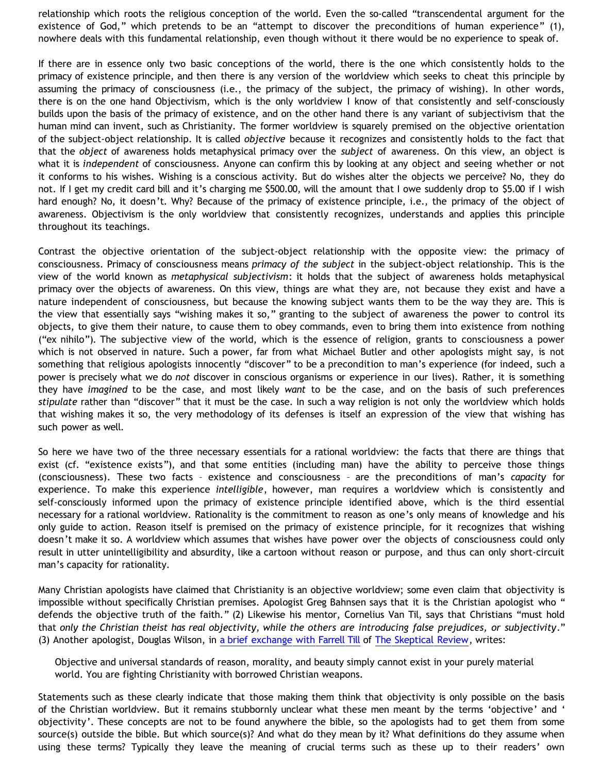relationship which roots the religious conception of the world. Even the so-called "transcendental argument for the existence of God," which pretends to be an "attempt to discover the preconditions of human experience" (1), nowhere deals with this fundamental relationship, even though without it there would be no experience to speak of.

If there are in essence only two basic conceptions of the world, there is the one which consistently holds to the primacy of existence principle, and then there is any version of the worldview which seeks to cheat this principle by assuming the primacy of consciousness (i.e., the primacy of the subject, the primacy of wishing). In other words, there is on the one hand Objectivism, which is the only worldview I know of that consistently and self-consciously builds upon the basis of the primacy of existence, and on the other hand there is any variant of subjectivism that the human mind can invent, such as Christianity. The former worldview is squarely premised on the objective orientation of the subject-object relationship. It is called *objective* because it recognizes and consistently holds to the fact that that the *object* of awareness holds metaphysical primacy over the *subject* of awareness. On this view, an object is what it is *independent* of consciousness. Anyone can confirm this by looking at any object and seeing whether or not it conforms to his wishes. Wishing is a conscious activity. But do wishes alter the objects we perceive? No, they do not. If I get my credit card bill and it's charging me \$500.00, will the amount that I owe suddenly drop to \$5.00 if I wish hard enough? No, it doesn't. Why? Because of the primacy of existence principle, i.e., the primacy of the object of awareness. Objectivism is the only worldview that consistently recognizes, understands and applies this principle throughout its teachings.

Contrast the objective orientation of the subject-object relationship with the opposite view: the primacy of consciousness. Primacy of consciousness means *primacy of the subject* in the subject-object relationship. This is the view of the world known as *metaphysical subjectivism*: it holds that the subject of awareness holds metaphysical primacy over the objects of awareness. On this view, things are what they are, not because they exist and have a nature independent of consciousness, but because the knowing subject wants them to be the way they are. This is the view that essentially says "wishing makes it so," granting to the subject of awareness the power to control its objects, to give them their nature, to cause them to obey commands, even to bring them into existence from nothing ("ex nihilo"). The subjective view of the world, which is the essence of religion, grants to consciousness a power which is not observed in nature. Such a power, far from what Michael Butler and other apologists might say, is not something that religious apologists innocently "discover" to be a precondition to man's experience (for indeed, such a power is precisely what we do *not* discover in conscious organisms or experience in our lives). Rather, it is something they have *imagined* to be the case, and most likely *want* to be the case, and on the basis of such preferences *stipulate* rather than "discover" that it must be the case. In such a way religion is not only the worldview which holds that wishing makes it so, the very methodology of its defenses is itself an expression of the view that wishing has such power as well.

So here we have two of the three necessary essentials for a rational worldview: the facts that there are things that exist (cf. "existence exists"), and that some entities (including man) have the ability to perceive those things (consciousness). These two facts – existence and consciousness – are the preconditions of man's *capacity* for experience. To make this experience *intelligible*, however, man requires a worldview which is consistently and self-consciously informed upon the primacy of existence principle identified above, which is the third essential necessary for a rational worldview. Rationality is the commitment to reason as one's only means of knowledge and his only guide to action. Reason itself is premised on the primacy of existence principle, for it recognizes that wishing doesn't make it so. A worldview which assumes that wishes have power over the objects of consciousness could only result in utter unintelligibility and absurdity, like a cartoon without reason or purpose, and thus can only short-circuit man's capacity for rationality.

Many Christian apologists have claimed that Christianity is an objective worldview; some even claim that objectivity is impossible without specifically Christian premises. Apologist Greg Bahnsen says that it is the Christian apologist who " defends the objective truth of the faith." (2) Likewise his mentor, Cornelius Van Til, says that Christians "must hold that *only the Christian theist has real objectivity, while the others are introducing false prejudices, or subjectivity*." (3) Another apologist, Douglas Wilson, in [a brief exchange with Farrell Till](http://www.reformed.org/apologetics/credenda-agenda/wilson-till.html) of [The Skeptical Review](http://www.infidels.org/library/magazines/tsr/), writes:

Objective and universal standards of reason, morality, and beauty simply cannot exist in your purely material world. You are fighting Christianity with borrowed Christian weapons.

Statements such as these clearly indicate that those making them think that objectivity is only possible on the basis of the Christian worldview. But it remains stubbornly unclear what these men meant by the terms 'objective' and ' objectivity'. These concepts are not to be found anywhere the bible, so the apologists had to get them from some source(s) outside the bible. But which source(s)? And what do they mean by it? What definitions do they assume when using these terms? Typically they leave the meaning of crucial terms such as these up to their readers' own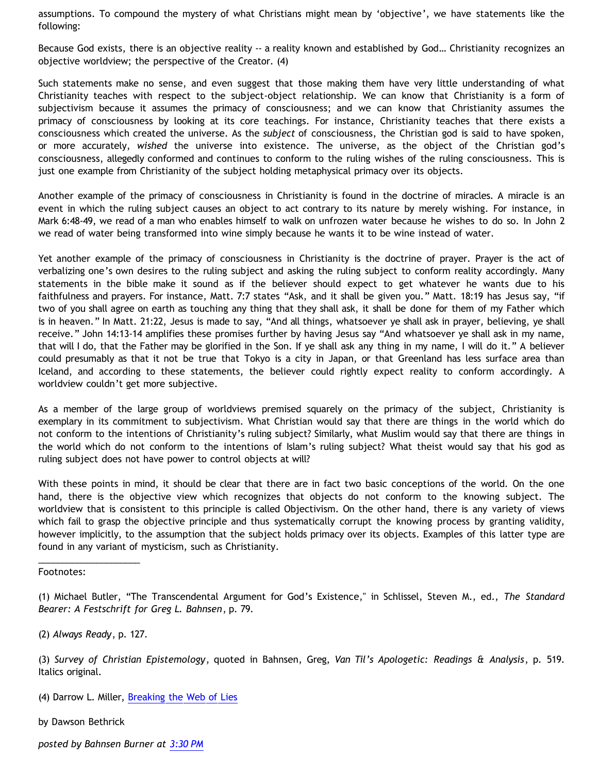assumptions. To compound the mystery of what Christians might mean by 'objective', we have statements like the following:

Because God exists, there is an objective reality -- a reality known and established by God... Christianity recognizes an objective worldview; the perspective of the Creator. (4)

Such statements make no sense, and even suggest that those making them have very little understanding of what Christianity teaches with respect to the subject-object relationship. We can know that Christianity is a form of subjectivism because it assumes the primacy of consciousness; and we can know that Christianity assumes the primacy of consciousness by looking at its core teachings. For instance, Christianity teaches that there exists a consciousness which created the universe. As the *subject* of consciousness, the Christian god is said to have spoken, or more accurately, *wished* the universe into existence. The universe, as the object of the Christian god's consciousness, allegedly conformed and continues to conform to the ruling wishes of the ruling consciousness. This is just one example from Christianity of the subject holding metaphysical primacy over its objects.

Another example of the primacy of consciousness in Christianity is found in the doctrine of miracles. A miracle is an event in which the ruling subject causes an object to act contrary to its nature by merely wishing. For instance, in Mark 6:48-49, we read of a man who enables himself to walk on unfrozen water because he wishes to do so. In John 2 we read of water being transformed into wine simply because he wants it to be wine instead of water.

Yet another example of the primacy of consciousness in Christianity is the doctrine of prayer. Prayer is the act of verbalizing one's own desires to the ruling subject and asking the ruling subject to conform reality accordingly. Many statements in the bible make it sound as if the believer should expect to get whatever he wants due to his faithfulness and prayers. For instance, Matt. 7:7 states "Ask, and it shall be given you." Matt. 18:19 has Jesus say, "if two of you shall agree on earth as touching any thing that they shall ask, it shall be done for them of my Father which is in heaven." In Matt. 21:22, Jesus is made to say, "And all things, whatsoever ye shall ask in prayer, believing, ye shall receive." John 14:13-14 amplifies these promises further by having Jesus say "And whatsoever ye shall ask in my name, that will I do, that the Father may be glorified in the Son. If ye shall ask any thing in my name, I will do it." A believer could presumably as that it not be true that Tokyo is a city in Japan, or that Greenland has less surface area than Iceland, and according to these statements, the believer could rightly expect reality to conform accordingly. A worldview couldn't get more subjective.

As a member of the large group of worldviews premised squarely on the primacy of the subject, Christianity is exemplary in its commitment to subjectivism. What Christian would say that there are things in the world which do not conform to the intentions of Christianity's ruling subject? Similarly, what Muslim would say that there are things in the world which do not conform to the intentions of Islam's ruling subject? What theist would say that his god as ruling subject does not have power to control objects at will?

With these points in mind, it should be clear that there are in fact two basic conceptions of the world. On the one hand, there is the objective view which recognizes that objects do not conform to the knowing subject. The worldview that is consistent to this principle is called Objectivism. On the other hand, there is any variety of views which fail to grasp the objective principle and thus systematically corrupt the knowing process by granting validity, however implicitly, to the assumption that the subject holds primacy over its objects. Examples of this latter type are found in any variant of mysticism, such as Christianity.

Footnotes:

(2) *Always Ready*, p. 127.

\_\_\_\_\_\_\_\_\_\_\_\_\_\_\_\_\_\_\_\_\_

(4) Darrow L. Miller, [Breaking the Web of Lies](http://www.gospelcom.net/uofn/kona/resources/worldview/worldviewdev.html)

by Dawson Bethrick

*posted by Bahnsen Burner at [3:30 PM](http://bahnsenburner.blogspot.com/2005/07/only-two-worldviews.html)*

<sup>(1)</sup> Michael Butler, "The Transcendental Argument for God's Existence," in Schlissel, Steven M., ed., *The Standard Bearer: A Festschrift for Greg L. Bahnsen*, p. 79.

<sup>(3)</sup> *Survey of Christian Epistemology*, quoted in Bahnsen, Greg, *Van Til's Apologetic: Readings & Analysis*, p. 519. Italics original.